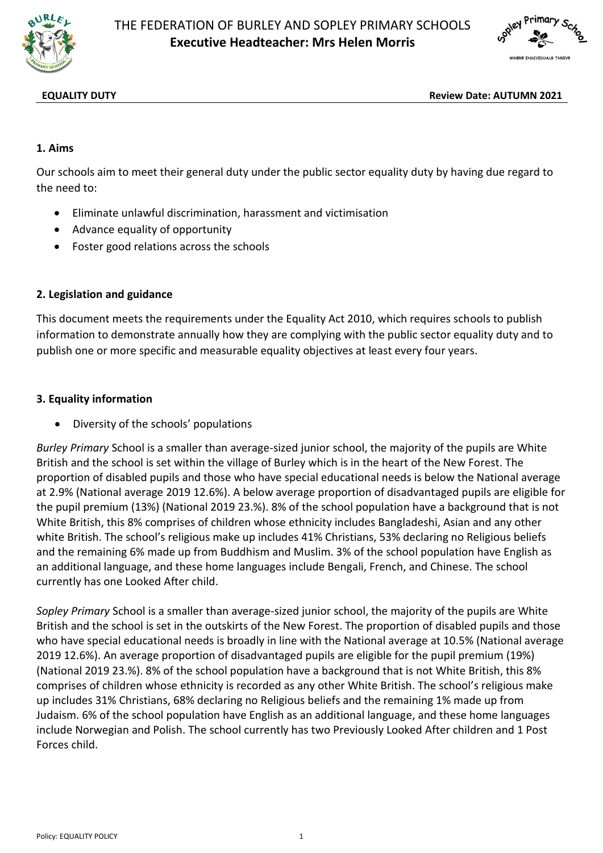



**EQUALITY DUTY Review Date: AUTUMN 2021**

## **1. Aims**

Our schools aim to meet their general duty under the public sector equality duty by having due regard to the need to:

- Eliminate unlawful discrimination, harassment and victimisation
- Advance equality of opportunity
- Foster good relations across the schools

### **2. Legislation and guidance**

This document meets the requirements under the Equality Act 2010, which requires schools to publish information to demonstrate annually how they are complying with the public sector equality duty and to publish one or more specific and measurable equality objectives at least every four years.

### **3. Equality information**

Diversity of the schools' populations

*Burley Primary* School is a smaller than average-sized junior school, the majority of the pupils are White British and the school is set within the village of Burley which is in the heart of the New Forest. The proportion of disabled pupils and those who have special educational needs is below the National average at 2.9% (National average 2019 12.6%). A below average proportion of disadvantaged pupils are eligible for the pupil premium (13%) (National 2019 23.%). 8% of the school population have a background that is not White British, this 8% comprises of children whose ethnicity includes Bangladeshi, Asian and any other white British. The school's religious make up includes 41% Christians, 53% declaring no Religious beliefs and the remaining 6% made up from Buddhism and Muslim. 3% of the school population have English as an additional language, and these home languages include Bengali, French, and Chinese. The school currently has one Looked After child.

*Sopley Primary* School is a smaller than average-sized junior school, the majority of the pupils are White British and the school is set in the outskirts of the New Forest. The proportion of disabled pupils and those who have special educational needs is broadly in line with the National average at 10.5% (National average 2019 12.6%). An average proportion of disadvantaged pupils are eligible for the pupil premium (19%) (National 2019 23.%). 8% of the school population have a background that is not White British, this 8% comprises of children whose ethnicity is recorded as any other White British. The school's religious make up includes 31% Christians, 68% declaring no Religious beliefs and the remaining 1% made up from Judaism. 6% of the school population have English as an additional language, and these home languages include Norwegian and Polish. The school currently has two Previously Looked After children and 1 Post Forces child.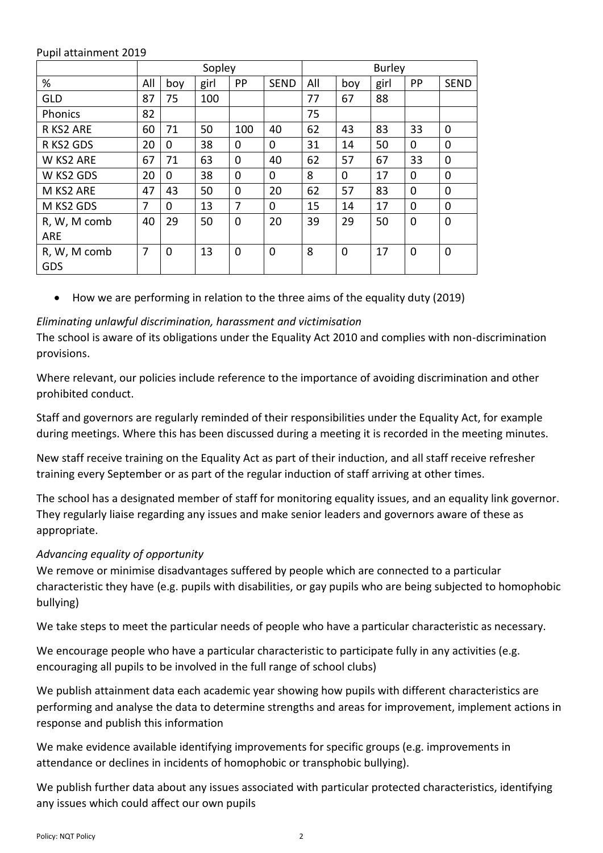|                            | Sopley |             |      |     |             | <b>Burley</b> |     |      |                |                |
|----------------------------|--------|-------------|------|-----|-------------|---------------|-----|------|----------------|----------------|
| %                          | All    | boy         | girl | PP  | <b>SEND</b> | All           | boy | girl | PP             | <b>SEND</b>    |
| <b>GLD</b>                 | 87     | 75          | 100  |     |             | 77            | 67  | 88   |                |                |
| Phonics                    | 82     |             |      |     |             | 75            |     |      |                |                |
| R KS2 ARE                  | 60     | 71          | 50   | 100 | 40          | 62            | 43  | 83   | 33             | $\overline{0}$ |
| R KS2 GDS                  | 20     | 0           | 38   | 0   | 0           | 31            | 14  | 50   | 0              | 0              |
| W KS2 ARE                  | 67     | 71          | 63   | 0   | 40          | 62            | 57  | 67   | 33             | 0              |
| W KS2 GDS                  | 20     | 0           | 38   | 0   | 0           | 8             | 0   | 17   | 0              | 0              |
| M KS2 ARE                  | 47     | 43          | 50   | 0   | 20          | 62            | 57  | 83   | 0              | 0              |
| M KS2 GDS                  | 7      | $\Omega$    | 13   | 7   | 0           | 15            | 14  | 17   | 0              | 0              |
| R, W, M comb<br><b>ARE</b> | 40     | 29          | 50   | 0   | 20          | 39            | 29  | 50   | $\overline{0}$ | $\overline{0}$ |
| R, W, M comb<br>GDS        | 7      | $\mathbf 0$ | 13   | 0   | $\mathbf 0$ | 8             | 0   | 17   | $\mathbf 0$    | $\overline{0}$ |

#### Pupil attainment 2019

How we are performing in relation to the three aims of the equality duty (2019)

## *Eliminating unlawful discrimination, harassment and victimisation*

The school is aware of its obligations under the Equality Act 2010 and complies with non-discrimination provisions.

Where relevant, our policies include reference to the importance of avoiding discrimination and other prohibited conduct.

Staff and governors are regularly reminded of their responsibilities under the Equality Act, for example during meetings. Where this has been discussed during a meeting it is recorded in the meeting minutes.

New staff receive training on the Equality Act as part of their induction, and all staff receive refresher training every September or as part of the regular induction of staff arriving at other times.

The school has a designated member of staff for monitoring equality issues, and an equality link governor. They regularly liaise regarding any issues and make senior leaders and governors aware of these as appropriate.

# *Advancing equality of opportunity*

We remove or minimise disadvantages suffered by people which are connected to a particular characteristic they have (e.g. pupils with disabilities, or gay pupils who are being subjected to homophobic bullying)

We take steps to meet the particular needs of people who have a particular characteristic as necessary.

We encourage people who have a particular characteristic to participate fully in any activities (e.g. encouraging all pupils to be involved in the full range of school clubs)

We publish attainment data each academic year showing how pupils with different characteristics are performing and analyse the data to determine strengths and areas for improvement, implement actions in response and publish this information

We make evidence available identifying improvements for specific groups (e.g. improvements in attendance or declines in incidents of homophobic or transphobic bullying).

We publish further data about any issues associated with particular protected characteristics, identifying any issues which could affect our own pupils